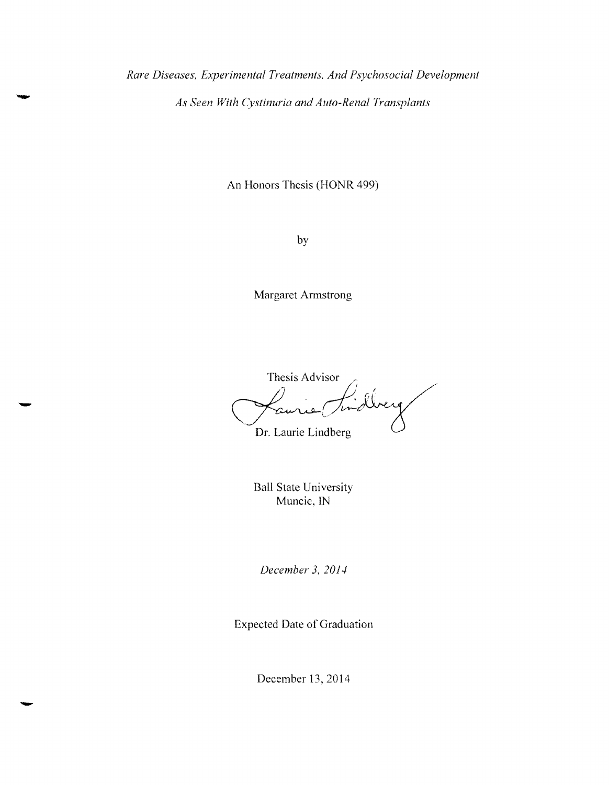*Rare Diseases, Experimental Treatments, And Psychosocial Development As Seen With Cystinuria and Auto-Renal Transplants* 

An Honors Thesis (HONR 499)

by

Margaret Armstrong

Thesis Advisor Dr, Laurie Lindberg

Ball State University Muncie, IN

*December* 3, *20].1* 

Expected Date of Graduation

December 13,2014